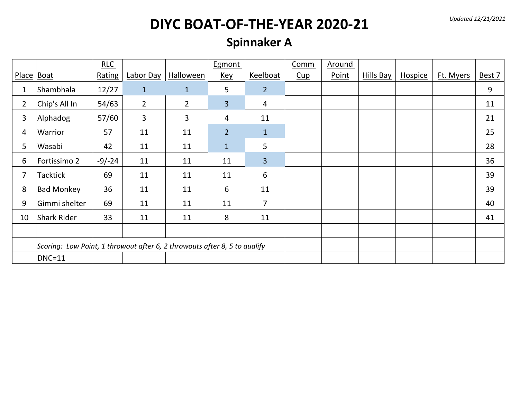*Updated 12/21/2021*

## **DIYC BOAT-OF-THE-YEAR 2020-21**

#### **Spinnaker A**

|                |                                                                           | RLC      |                  |                  | Egmont         |                 | Comm | <b>Around</b> |           |                |           |        |
|----------------|---------------------------------------------------------------------------|----------|------------------|------------------|----------------|-----------------|------|---------------|-----------|----------------|-----------|--------|
| Place Boat     |                                                                           | Rating   | <b>Labor Day</b> | <b>Halloween</b> | <b>Key</b>     | Keelboat        | Cup  | Point         | Hills Bay | <b>Hospice</b> | Ft. Myers | Best 7 |
| 1              | Shambhala                                                                 | 12/27    | $\mathbf{1}$     | $\mathbf{1}$     | 5              | $\overline{2}$  |      |               |           |                |           | 9      |
| $\overline{2}$ | Chip's All In                                                             | 54/63    | $\overline{2}$   | $\overline{2}$   | $\overline{3}$ | 4               |      |               |           |                |           | 11     |
| 3              | Alphadog                                                                  | 57/60    | 3                | $\mathbf{3}$     | 4              | 11              |      |               |           |                |           | 21     |
| 4              | Warrior                                                                   | 57       | 11               | 11               | $\overline{2}$ | $\mathbf{1}$    |      |               |           |                |           | 25     |
| 5              | Wasabi                                                                    | 42       | 11               | 11               | $\mathbf{1}$   | 5               |      |               |           |                |           | 28     |
| 6              | Fortissimo 2                                                              | $-9/-24$ | 11               | 11               | 11             | $\overline{3}$  |      |               |           |                |           | 36     |
| 7              | <b>Tacktick</b>                                                           | 69       | 11               | 11               | 11             | $6\phantom{1}6$ |      |               |           |                |           | 39     |
| 8              | <b>Bad Monkey</b>                                                         | 36       | 11               | 11               | 6              | 11              |      |               |           |                |           | 39     |
| 9              | Gimmi shelter                                                             | 69       | 11               | 11               | 11             | $\overline{7}$  |      |               |           |                |           | 40     |
| 10             | Shark Rider                                                               | 33       | 11               | 11               | 8              | 11              |      |               |           |                |           | 41     |
|                |                                                                           |          |                  |                  |                |                 |      |               |           |                |           |        |
|                | Scoring: Low Point, 1 throwout after 6, 2 throwouts after 8, 5 to qualify |          |                  |                  |                |                 |      |               |           |                |           |        |
|                | $DNC=11$                                                                  |          |                  |                  |                |                 |      |               |           |                |           |        |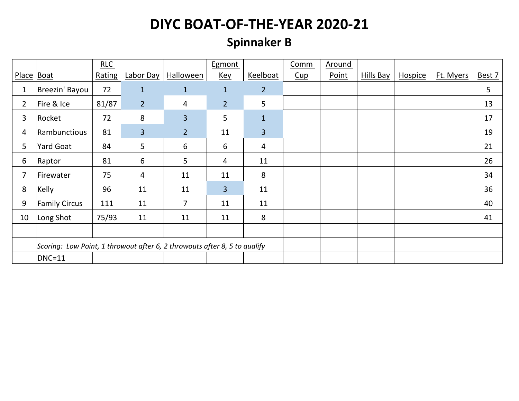#### **Spinnaker B**

|                |                                                                           | RLC    |                |                | Egmont         |                | Comm | Around |           |         |           |        |
|----------------|---------------------------------------------------------------------------|--------|----------------|----------------|----------------|----------------|------|--------|-----------|---------|-----------|--------|
|                | Place   Boat                                                              | Rating | Labor Day      | Halloween      | <b>Key</b>     | Keelboat       | Cup  | Point  | Hills Bay | Hospice | Ft. Myers | Best 7 |
| 1              | Breezin' Bayou                                                            | 72     | 1              | $\mathbf{1}$   | $\mathbf{1}$   | $\overline{2}$ |      |        |           |         |           | 5      |
| $\overline{2}$ | Fire & Ice                                                                | 81/87  | 2 <sup>2</sup> | 4              | $\overline{2}$ | 5              |      |        |           |         |           | 13     |
| 3              | Rocket                                                                    | 72     | 8              | 3              | 5              | $\mathbf{1}$   |      |        |           |         |           | 17     |
| 4              | Rambunctious                                                              | 81     | $\overline{3}$ | $\overline{2}$ | 11             | 3              |      |        |           |         |           | 19     |
| 5              | Yard Goat                                                                 | 84     | 5              | 6              | 6              | $\overline{4}$ |      |        |           |         |           | 21     |
| 6              | Raptor                                                                    | 81     | 6              | 5              | 4              | 11             |      |        |           |         |           | 26     |
| 7              | Firewater                                                                 | 75     | 4              | 11             | 11             | 8              |      |        |           |         |           | 34     |
| 8              | Kelly                                                                     | 96     | 11             | 11             | $\overline{3}$ | 11             |      |        |           |         |           | 36     |
| 9              | <b>Family Circus</b>                                                      | 111    | 11             | 7              | 11             | 11             |      |        |           |         |           | 40     |
| 10             | Long Shot                                                                 | 75/93  | 11             | 11             | 11             | 8              |      |        |           |         |           | 41     |
|                |                                                                           |        |                |                |                |                |      |        |           |         |           |        |
|                | Scoring: Low Point, 1 throwout after 6, 2 throwouts after 8, 5 to qualify |        |                |                |                |                |      |        |           |         |           |        |
|                | <b>DNC=11</b>                                                             |        |                |                |                |                |      |        |           |         |           |        |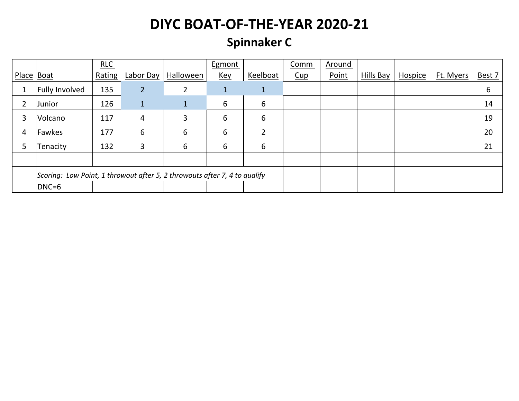#### **Spinnaker C**

|                |                                                                           | RLC    |                |                | Egmont      |                | Comm | Around |           |                |           |        |
|----------------|---------------------------------------------------------------------------|--------|----------------|----------------|-------------|----------------|------|--------|-----------|----------------|-----------|--------|
| Place   Boat   |                                                                           | Rating | Labor Day      | Halloween      | <u>Key</u>  | Keelboat       | Cup  | Point  | Hills Bay | <b>Hospice</b> | Ft. Myers | Best 7 |
|                | Fully Involved                                                            | 135    | $\overline{2}$ | $\overline{2}$ | $\mathbf 1$ | $\mathbf{1}$   |      |        |           |                |           | 6      |
| $\overline{2}$ | Junior                                                                    | 126    |                | $\mathbf{1}$   | 6           | 6              |      |        |           |                |           | 14     |
| 3              | Volcano                                                                   | 117    | 4              | 3              | 6           | 6              |      |        |           |                |           | 19     |
| 4              | Fawkes                                                                    | 177    | 6              | 6              | 6           | $\overline{2}$ |      |        |           |                |           | 20     |
| 5              | Tenacity                                                                  | 132    | 3              | 6              | 6           | 6              |      |        |           |                |           | 21     |
|                |                                                                           |        |                |                |             |                |      |        |           |                |           |        |
|                | Scoring: Low Point, 1 throwout after 5, 2 throwouts after 7, 4 to qualify |        |                |                |             |                |      |        |           |                |           |        |
|                | DNC=6                                                                     |        |                |                |             |                |      |        |           |                |           |        |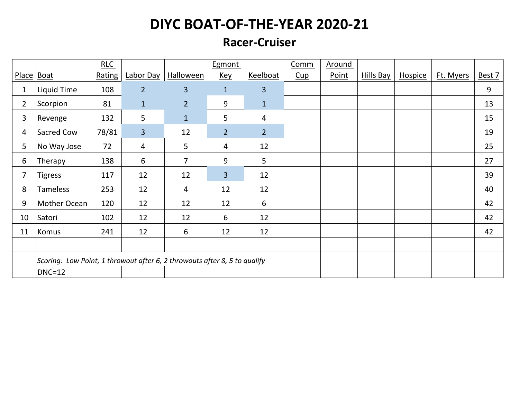#### **Racer-Cruiser**

|                |                                                                           | RLC    |                |                  | Egmont         |                         | Comm | <b>Around</b> |                  |                |           |        |
|----------------|---------------------------------------------------------------------------|--------|----------------|------------------|----------------|-------------------------|------|---------------|------------------|----------------|-----------|--------|
| Place Boat     |                                                                           | Rating | Labor Day      | <b>Halloween</b> | <u>Key</u>     | Keelboat                | Cup  | Point         | <b>Hills Bay</b> | <b>Hospice</b> | Ft. Myers | Best 7 |
| 1              | <b>Liquid Time</b>                                                        | 108    | $\overline{2}$ | $\overline{3}$   | $\mathbf{1}$   | $\overline{3}$          |      |               |                  |                |           | 9      |
| $\overline{2}$ | Scorpion                                                                  | 81     | $\mathbf{1}$   | $\overline{2}$   | 9              | $1\,$                   |      |               |                  |                |           | 13     |
| 3              | Revenge                                                                   | 132    | 5              | $\mathbf{1}$     | 5              | $\overline{\mathbf{4}}$ |      |               |                  |                |           | 15     |
| 4              | Sacred Cow                                                                | 78/81  | $\overline{3}$ | 12               | 2 <sup>2</sup> | $\overline{2}$          |      |               |                  |                |           | 19     |
| 5              | No Way Jose                                                               | 72     | 4              | 5                | 4              | 12                      |      |               |                  |                |           | 25     |
| 6              | Therapy                                                                   | 138    | 6              | $\overline{7}$   | 9              | 5                       |      |               |                  |                |           | 27     |
| 7              | <b>Tigress</b>                                                            | 117    | 12             | 12               | $\overline{3}$ | 12                      |      |               |                  |                |           | 39     |
| 8              | Tameless                                                                  | 253    | 12             | 4                | 12             | 12                      |      |               |                  |                |           | 40     |
| 9              | Mother Ocean                                                              | 120    | 12             | 12               | 12             | 6                       |      |               |                  |                |           | 42     |
| 10             | Satori                                                                    | 102    | 12             | 12               | 6              | 12                      |      |               |                  |                |           | 42     |
| 11             | Komus                                                                     | 241    | 12             | 6                | 12             | 12                      |      |               |                  |                |           | 42     |
|                |                                                                           |        |                |                  |                |                         |      |               |                  |                |           |        |
|                | Scoring: Low Point, 1 throwout after 6, 2 throwouts after 8, 5 to qualify |        |                |                  |                |                         |      |               |                  |                |           |        |
|                | $DNC=12$                                                                  |        |                |                  |                |                         |      |               |                  |                |           |        |